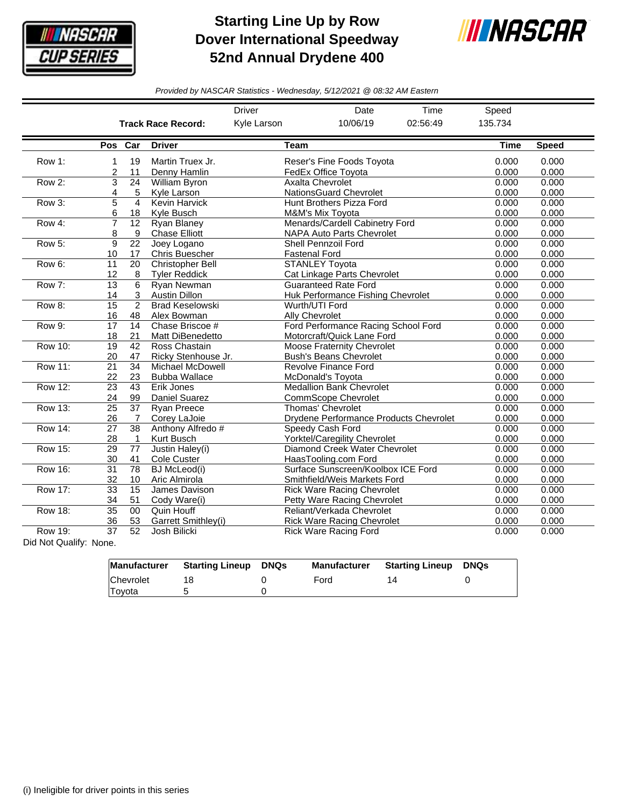

## **Starting Line Up by Row Dover International Speedway 52nd Annual Drydene 400**



*Provided by NASCAR Statistics - Wednesday, 5/12/2021 @ 08:32 AM Eastern*

|                |                                        |                         |                           | <b>Driver</b> | Date                                   | Time     | Speed       |              |
|----------------|----------------------------------------|-------------------------|---------------------------|---------------|----------------------------------------|----------|-------------|--------------|
|                |                                        |                         | <b>Track Race Record:</b> | Kyle Larson   | 10/06/19                               | 02:56:49 | 135.734     |              |
|                |                                        | Pos Car                 | <b>Driver</b>             | <b>Team</b>   |                                        |          | <b>Time</b> | <b>Speed</b> |
| Row 1:         | 1                                      | 19                      | Martin Truex Jr.          |               | Reser's Fine Foods Toyota              |          | 0.000       | 0.000        |
|                | 2                                      | 11                      | Denny Hamlin              |               | FedEx Office Toyota                    | 0.000    | 0.000       |              |
| Row 2:         | 3                                      | 24                      | William Byron             |               | <b>Axalta Chevrolet</b>                |          | 0.000       | 0.000        |
|                | 4                                      | 5                       | Kyle Larson               |               | NationsGuard Chevrolet                 |          | 0.000       | 0.000        |
| Row 3:         | 5                                      | $\overline{\mathbf{A}}$ | <b>Kevin Harvick</b>      |               | Hunt Brothers Pizza Ford               |          | 0.000       | 0.000        |
|                | 6                                      | 18                      | Kyle Busch                |               | <b>M&amp;M's Mix Tovota</b>            | 0.000    | 0.000       |              |
| Row 4:         | $\overline{7}$                         | 12                      | <b>Ryan Blaney</b>        |               | Menards/Cardell Cabinetry Ford         | 0.000    | 0.000       |              |
|                | 8                                      | 9                       | <b>Chase Elliott</b>      |               | <b>NAPA Auto Parts Chevrolet</b>       | 0.000    | 0.000       |              |
| Row 5:         | 9                                      | $\overline{22}$         | Joey Logano               |               | Shell Pennzoil Ford                    |          | 0.000       | 0.000        |
|                | 10                                     | 17                      | <b>Chris Buescher</b>     |               | <b>Fastenal Ford</b>                   | 0.000    | 0.000       |              |
| Row 6:         | 11                                     | 20                      | Christopher Bell          |               | <b>STANLEY Toyota</b>                  |          | 0.000       | 0.000        |
|                | 12                                     | 8                       | <b>Tyler Reddick</b>      |               | Cat Linkage Parts Chevrolet            |          | 0.000       | 0.000        |
| Row 7:         | 13                                     | 6                       | Ryan Newman               |               | <b>Guaranteed Rate Ford</b>            | 0.000    | 0.000       |              |
|                | 14                                     | 3                       | <b>Austin Dillon</b>      |               | Huk Performance Fishing Chevrolet      | 0.000    | 0.000       |              |
| Row 8:         | $\overline{15}$                        | $\overline{2}$          | <b>Brad Keselowski</b>    |               | Wurth/UTI Ford                         |          | 0.000       | 0.000        |
|                | 16                                     | 48                      | Alex Bowman               |               | Ally Chevrolet                         |          | 0.000       | 0.000        |
| Row 9:         | 17                                     | 14                      | Chase Briscoe #           |               | Ford Performance Racing School Ford    |          | 0.000       | 0.000        |
|                | 18                                     | 21                      | Matt DiBenedetto          |               | Motorcraft/Quick Lane Ford             |          | 0.000       | 0.000        |
| Row 10:        | 19                                     | 42                      | Ross Chastain             |               | Moose Fraternity Chevrolet             |          | 0.000       | 0.000        |
|                | 20                                     | 47                      | Ricky Stenhouse Jr.       |               | <b>Bush's Beans Chevrolet</b>          | 0.000    | 0.000       |              |
| <b>Row 11:</b> | $\overline{21}$                        | $\overline{34}$         | <b>Michael McDowell</b>   |               | Revolve Finance Ford                   |          | 0.000       | 0.000        |
|                | 22                                     | 23                      | <b>Bubba Wallace</b>      |               | McDonald's Toyota                      |          | 0.000       | 0.000        |
| Row 12:        | 23                                     | 43                      | Erik Jones                |               | <b>Medallion Bank Chevrolet</b>        | 0.000    | 0.000       |              |
|                | 24                                     | 99                      | Daniel Suarez             |               | <b>CommScope Chevrolet</b>             |          | 0.000       | 0.000        |
| Row 13:        | $\overline{25}$                        | 37                      | <b>Ryan Preece</b>        |               | Thomas' Chevrolet                      |          | 0.000       | 0.000        |
|                | 26                                     | 7                       | Corey LaJoie              |               | Drydene Performance Products Chevrolet |          | 0.000       | 0.000        |
| <b>Row 14:</b> | $\overline{27}$                        | $\overline{38}$         | Anthony Alfredo #         |               | Speedy Cash Ford                       |          | 0.000       | 0.000        |
|                | 28                                     | 1                       | Kurt Busch                |               | <b>Yorktel/Caregility Chevrolet</b>    |          | 0.000       | 0.000        |
| <b>Row 15:</b> | 29                                     | 77                      | Justin Haley(i)           |               | Diamond Creek Water Chevrolet          |          | 0.000       | 0.000        |
|                | 30                                     | 41                      | Cole Custer               |               | HaasTooling.com Ford                   |          | 0.000       | 0.000        |
| <b>Row 16:</b> | $\overline{31}$                        | $\overline{78}$         | <b>BJ</b> McLeod(i)       |               | Surface Sunscreen/Koolbox ICE Ford     |          | 0.000       | 0.000        |
|                | 32                                     | 10                      | Aric Almirola             |               | Smithfield/Weis Markets Ford           |          | 0.000       | 0.000        |
| <b>Row 17:</b> | $\overline{15}$<br>33<br>James Davison |                         |                           |               | <b>Rick Ware Racing Chevrolet</b>      |          |             | 0.000        |
|                | 34                                     | 51                      | Cody Ware(i)              |               | Petty Ware Racing Chevrolet            |          | 0.000       | 0.000        |
| <b>Row 18:</b> | $\overline{35}$<br>Quin Houff<br>00    |                         |                           |               | Reliant/Verkada Chevrolet              |          | 0.000       | 0.000        |
|                | 36                                     | 53                      | Garrett Smithley(i)       |               | <b>Rick Ware Racing Chevrolet</b>      |          | 0.000       | 0.000        |
| Row 19:        | 37                                     | 52                      | Josh Bilicki              |               | <b>Rick Ware Racing Ford</b>           |          | 0.000       | 0.000        |

Did Not Qualify: None.

| Manufacturer | <b>Starting Lineup</b> | DNQs | <b>Manufacturer</b> | <b>Starting Lineup DNQs</b> |  |
|--------------|------------------------|------|---------------------|-----------------------------|--|
| Chevrolet    |                        |      | Ford                |                             |  |
| Toyota       |                        |      |                     |                             |  |